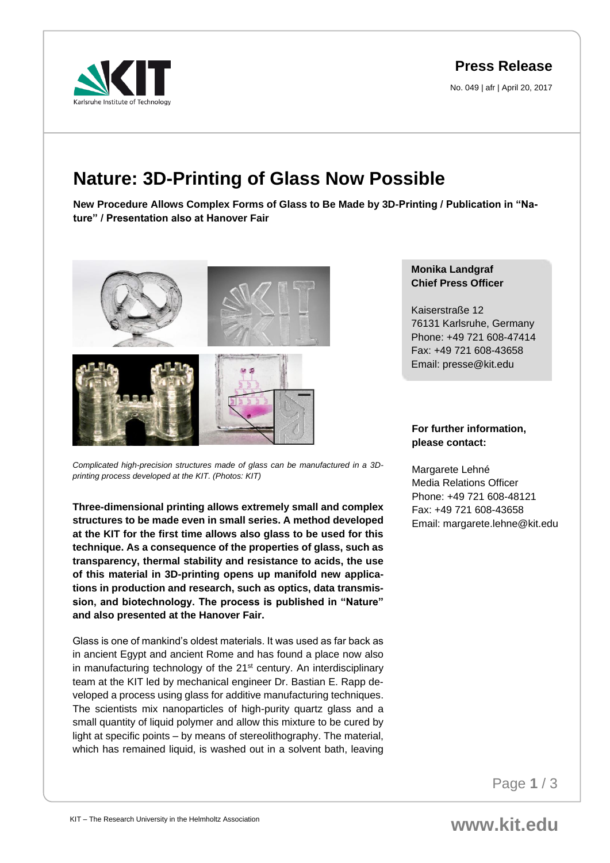arkruhe Institute of Technology

## **Press Release**

No. 049 | afr | April 20, 2017

# **Nature: 3D-Printing of Glass Now Possible**

**New Procedure Allows Complex Forms of Glass to Be Made by 3D-Printing / Publication in "Nature" / Presentation also at Hanover Fair** 



*Complicated high-precision structures made of glass can be manufactured in a 3Dprinting process developed at the KIT. (Photos: KIT)*

**Three-dimensional printing allows extremely small and complex structures to be made even in small series. A method developed at the KIT for the first time allows also glass to be used for this technique. As a consequence of the properties of glass, such as transparency, thermal stability and resistance to acids, the use of this material in 3D-printing opens up manifold new applications in production and research, such as optics, data transmission, and biotechnology. The process is published in "Nature" and also presented at the Hanover Fair.** 

Glass is one of mankind's oldest materials. It was used as far back as in ancient Egypt and ancient Rome and has found a place now also in manufacturing technology of the 21<sup>st</sup> century. An interdisciplinary team at the KIT led by mechanical engineer Dr. Bastian E. Rapp developed a process using glass for additive manufacturing techniques. The scientists mix nanoparticles of high-purity quartz glass and a small quantity of liquid polymer and allow this mixture to be cured by light at specific points – by means of stereolithography. The material, which has remained liquid, is washed out in a solvent bath, leaving

#### **Monika Landgraf Chief Press Officer**

Kaiserstraße 12 76131 Karlsruhe, Germany Phone: +49 721 608-47414 Fax: +49 721 608-43658 Email: presse@kit.edu

### **For further information, please contact:**

Margarete Lehné Media Relations Officer Phone: +49 721 608-48121 Fax: +49 721 608-43658 Email: margarete.lehne@kit.edu

Page **1** / 3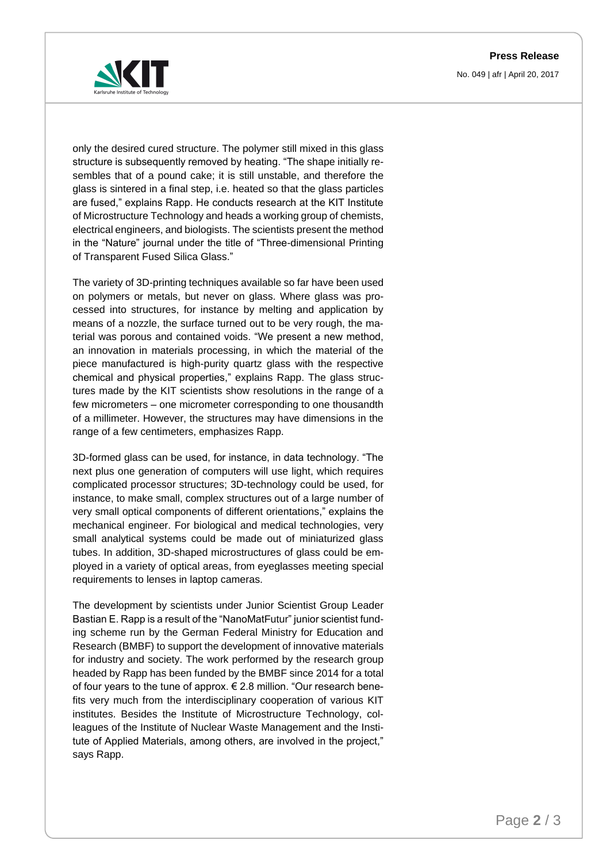**Press Release**

No. 049 | afr | April 20, 2017



only the desired cured structure. The polymer still mixed in this glass structure is subsequently removed by heating. "The shape initially resembles that of a pound cake; it is still unstable, and therefore the glass is sintered in a final step, i.e. heated so that the glass particles are fused," explains Rapp. He conducts research at the KIT Institute of Microstructure Technology and heads a working group of chemists, electrical engineers, and biologists. The scientists present the method in the "Nature" journal under the title of "Three-dimensional Printing of Transparent Fused Silica Glass."

The variety of 3D-printing techniques available so far have been used on polymers or metals, but never on glass. Where glass was processed into structures, for instance by melting and application by means of a nozzle, the surface turned out to be very rough, the material was porous and contained voids. "We present a new method, an innovation in materials processing, in which the material of the piece manufactured is high-purity quartz glass with the respective chemical and physical properties," explains Rapp. The glass structures made by the KIT scientists show resolutions in the range of a few micrometers – one micrometer corresponding to one thousandth of a millimeter. However, the structures may have dimensions in the range of a few centimeters, emphasizes Rapp.

3D-formed glass can be used, for instance, in data technology. "The next plus one generation of computers will use light, which requires complicated processor structures; 3D-technology could be used, for instance, to make small, complex structures out of a large number of very small optical components of different orientations," explains the mechanical engineer. For biological and medical technologies, very small analytical systems could be made out of miniaturized glass tubes. In addition, 3D-shaped microstructures of glass could be employed in a variety of optical areas, from eyeglasses meeting special requirements to lenses in laptop cameras.

The development by scientists under Junior Scientist Group Leader Bastian E. Rapp is a result of the "NanoMatFutur" junior scientist funding scheme run by the German Federal Ministry for Education and Research (BMBF) to support the development of innovative materials for industry and society. The work performed by the research group headed by Rapp has been funded by the BMBF since 2014 for a total of four years to the tune of approx.  $\epsilon$  2.8 million. "Our research benefits very much from the interdisciplinary cooperation of various KIT institutes. Besides the Institute of Microstructure Technology, colleagues of the Institute of Nuclear Waste Management and the Institute of Applied Materials, among others, are involved in the project," says Rapp.